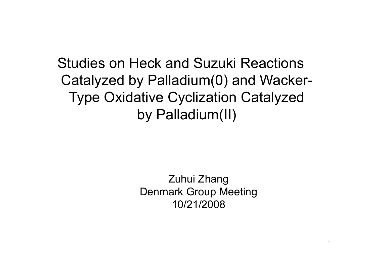Studies on Heck and Suzuki Reactions Catalyzed by Palladium(0) and Wacke r -Type Oxidative Cyclization Catalyzed by Palladium(II)

> Zuhui Zhang Denmark Group Meeting 10/21/2008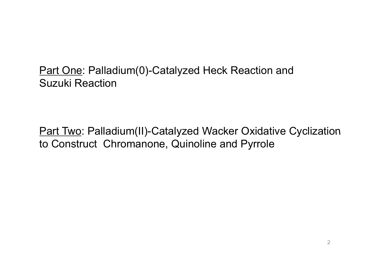<u>Part One</u>: Palladium(0)-Catalyzed Heck Reaction and Suzuki Reaction

<u>Part Two</u>: Palladium(II)-Catalyzed Wacker Oxidative Cyclization to Construct Chromanone, Quinoline and Pyrrole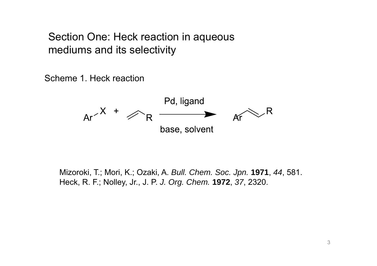Section One: Heck reaction in a queous mediums and its selectivity

Scheme 1. Heck reaction



Mizoroki, T.; Mori, K.; Ozaki, A. *Bull. Chem. Soc. Jpn.* **1971**, *44*, 581. Heck, R. F.; Nolley, Jr., J. P. *J. Org. Chem.* **1972**, *37*, 2320.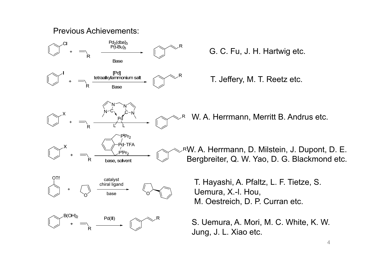#### Previous Achievements:



G. C. Fu, J. H. Hartwig etc.

T. Jeffery, M. T. Reetz etc.

W. A. Herrmann, Merritt B. Andrus etc.

W. A. Herrmann, D. Milstein, J. Dupont, D. E. Bergbreiter, Q. W. Yao, D. G. Blackmond etc.

T. Hayashi, A. Pfaltz, L. F. Tietze, S. M. Oestreich, D. P. Curran etc.

S. Uemura, A. Mori, M. C. White, K. W. Jung, J. L. Xiao etc.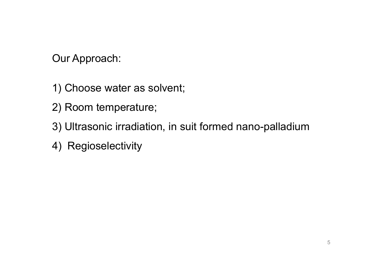Our Approach:

- 1) Choose water as solvent;
- 2) Room temperature;
- 3) Ultrasonic irradiation, in suit formed nano-palladium
- 4) Regioselectivity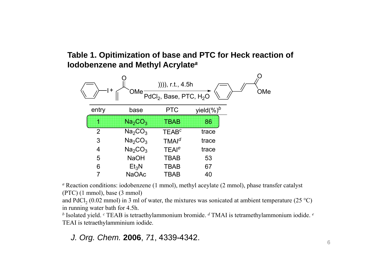**Table 1. Opitimization of base and PTC for Heck reaction of Iodobenzene and Methyl Acrylate** *a*



*a* Reaction conditions: iodobenzene (1 mmol), methyl aceylate (2 mmol), phase transfer catalyst  $(PTC)$  (1 mmol), base (3 mmol)

and PdCl<sub>2</sub> (0.02 mmol) in 3 ml of water, the mixtures was sonicated at ambient temperature (25 °C) in running water bath for 4.5h.

*b* Isolated yield. *<sup>c</sup>* TEAB is tetraethylammonium bromide. *d* TMAI is tetramethylammonium iodide. *<sup>e</sup>* TEAI is tetraethylamminium iodide.

#### *J. Org. Chem.* **2006**, *71*, 4339-4342.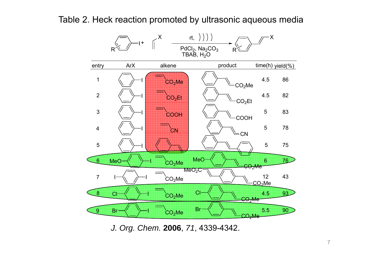#### Table 2. Heck reaction promoted by ultrasonic aqueous media



*J. Org. Chem.* **2006**, *71*, 4339-4342.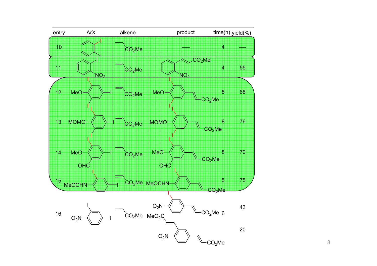

8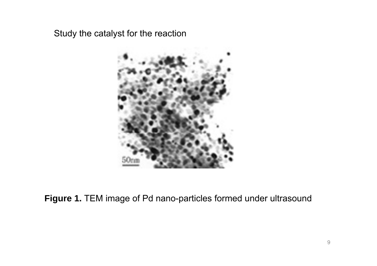Study the catalyst for the reaction



**Figure 1.** TEM image of Pd nano-particles formed under ultrasound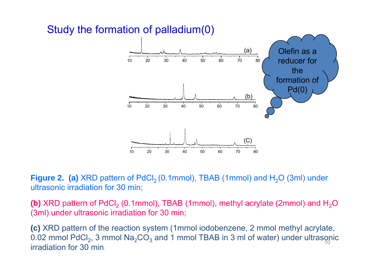

## Study the formation of palladium(0)

**Figure 2. (a)** XRD pattern of PdCl $_2$  (0.1mmol), TBAB (1mmol) and H $_2$ O (3ml) under ultrasonic irradiation for 30 min;

**(b)** XRD pattern of PdCl<sub>2</sub> (0.1mmol), TBAB (1mmol), methyl acrylate (2mmol) and H<sub>2</sub>O (3ml) under ultrasonic irradiation for 30 min;

**(c)** XRD pattern of the reaction system (1mmol iodobenzene, 2 mmol methyl acrylate, 0.02 mmol PdCl<sub>2</sub>, 3 mmol Na<sub>2</sub>CO<sub>3</sub> and 1 mmol TBAB in 3 ml of water) under ultrasonic irradiation for 30 min. $10<sup>10</sup>$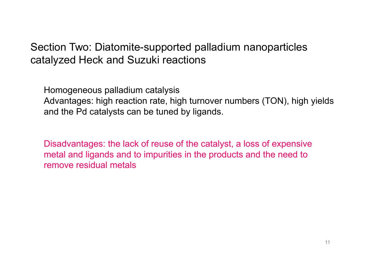## Section Two: Diatomite-supported palladium nanoparticles catalyzed Heck and Suzuki reactions

Homogeneous palladium catalysis Advantages: high reaction rate, high turnover numbers (TON), high yields and the Pd catalysts can be tuned by ligands.

Disadvantages: the lack of reuse of the catalyst, a loss of expensive metal and ligands and to impurities in the products and the need to remove residual metals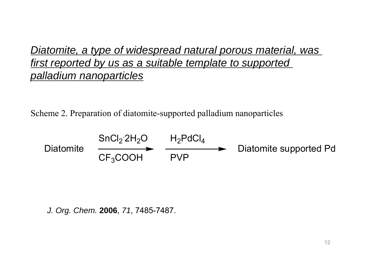## *Diatomite, a type of widespread natural porous material, was first reported by us as a suitable template to supported p all di ti l lladium nanopartic les*

Scheme 2. Preparation of diatomite-supported palladium nanoparticles

DiatomiteSnCl 2.2H2OCF <sup>3</sup>COOH PVP 3 H<sup>2</sup>PdCl 4Diatomite supported Pd

*J. Org. Chem.* **2006**, *71*, 7485-7487.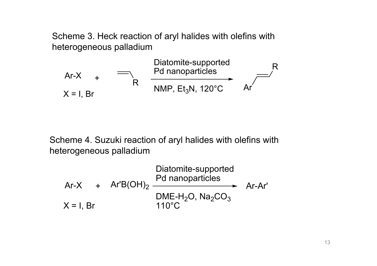Scheme 3. Heck reaction of aryl halides with olefins with heterogeneous palladium

Diatomite-supported Pdnanop articlesRAr-X+RNMP, Et <sup>3</sup>N, 120°C Ar X = I, Br

Scheme 4. Suzuki reaction of aryl halides with olefins with heterogeneous palladium

Ar-X+ Ar'B(OH) 2Diatomite-supported Pd nanoparticles Ar-Ar'X = I, Br DME-H<sup>2</sup>O, Na <sup>2</sup>CO 3110°C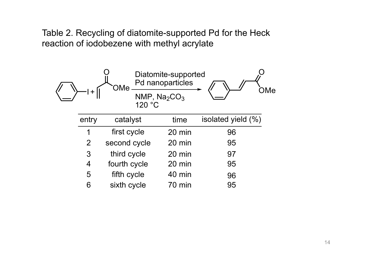Table 2. Recycling of diatomite-supported Pd for the Heck reaction of iodobezene with methyl acrylate

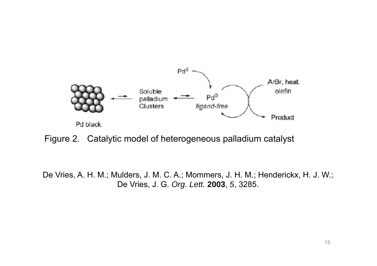

Figure 2. Catalytic model of heterogeneous palladium catalyst

De Vries, A. H. M.; Mulders, J. M. C. A.; Mommers, J. H. M.; Henderickx, H. J. W.; De Vries, J. G. *Org. Lett.* **2003**, *5*, 3285.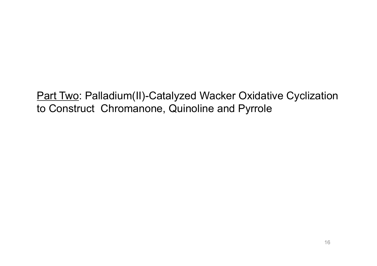Part Two: Palladium(II)-Catalyzed Wacker Oxidative Cyclization to Construct Chromanone, Quinoline and Pyrrole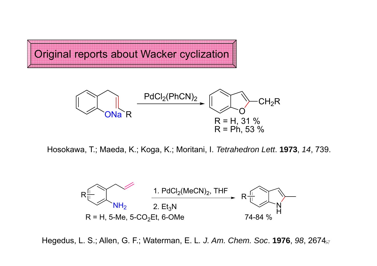Original reports about Wacker cyclization



Hosokawa, T.; Maeda, K.; Koga, K.; Moritani, I. *Tetrahedron Lett*. **1973**, *14*, 739.



Hegedus, L. S.; Allen, G. F.; Waterman, E. L. J. Am. Chem. Soc. 1976, 98, 2674<sub>17</sub>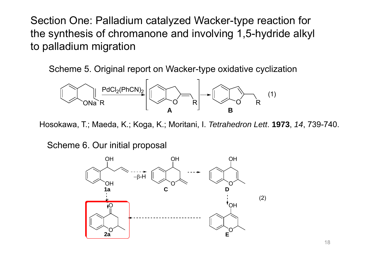Section One: Palladium catalyzed Wacker-type reaction for the synthesis of chromanone and involving 1,5-hydride alkyl to palladium migration

Scheme 5. Original report on Wacker-type oxidative cyclization



Hosokawa, T.; Maeda, K.; Koga, K.; Moritani, I. *Tetrahedron Lett*. **1973**, *14*, 739-740.

Scheme 6. Our initial proposal

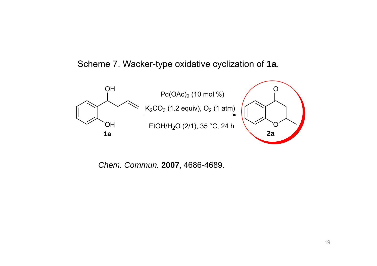Scheme 7. Wacker-type oxidative cyclization of **1a**.



*Ch C em. Commun.* **2007**, 4686 -4689.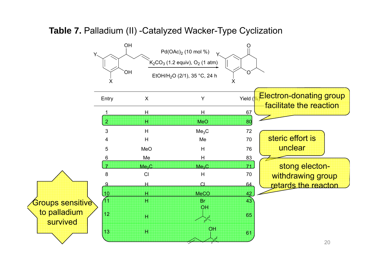

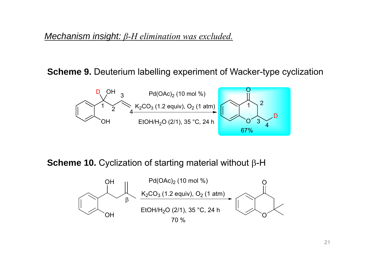#### *Mechanism insight: β-H elimination was excluded.*

#### **Scheme 9** Deuterium labelling experiment of Wacker-type cyclization **9.**



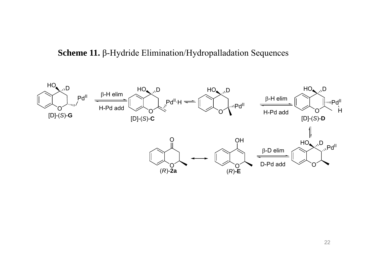#### **Scheme 11.** β-Hydride Elimination/Hydropalladation Sequences

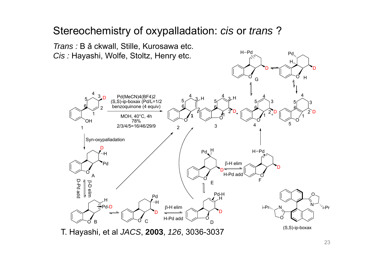## Stereochemistry of oxypalladation: *cis* or *trans* ?

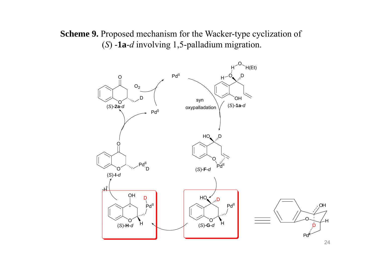**Scheme 9.** Proposed mechanism for the Wacker-type cyclization of  $(S)$  **-1a-** $d$  involving 1,5-palladium migration.

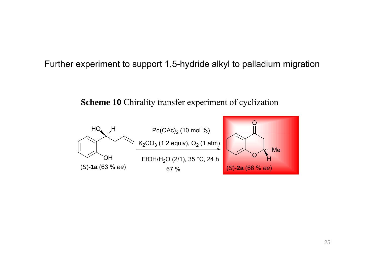Further experiment to support 1,5-hydride alkyl to palladium migration

**Scheme 10** Chirality transfer experiment of cyclization

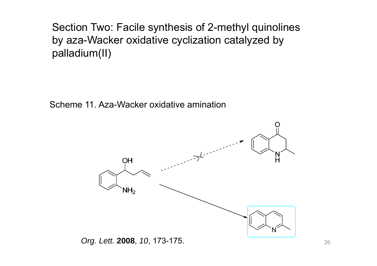Section Two: Facile synthesis of 2-methyl quinolines by aza-Wacker oxidative cyclization catalyzed by palladium(II)

Scheme 11. Aza-Wacker oxidative amination

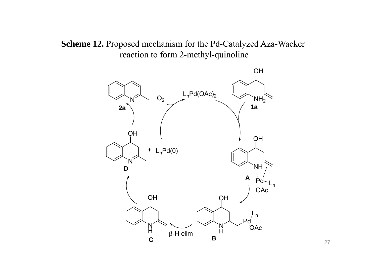**Scheme 12.** Proposed mechanism for the Pd-Catalyzed Aza-Wacker reaction to form 2-methyl-quinoline

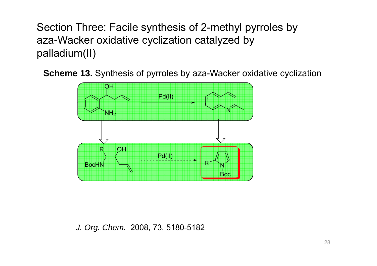Section Three: Facile synthesis of 2-methyl pyrroles by aza-Wacker oxidative cyclization catalyzed by palladium(II)

**Scheme 13.** Synthesis of pyrroles by aza-Wacker oxidative cyclization



*J. Org. Chem.* 2008, 73, 5180-5182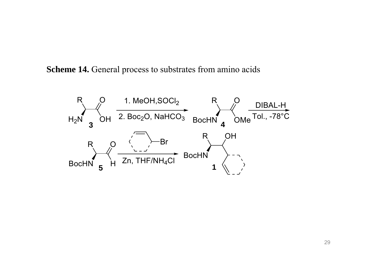**Scheme 14.** General process to substrates from amino acids

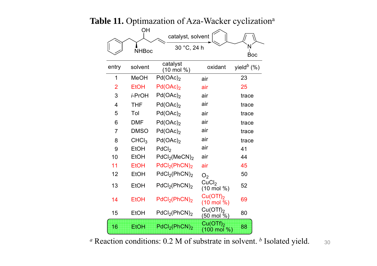|                |                   | IC 11. Optimazation of Aza- wacker cyclizati |                                               |                               |
|----------------|-------------------|----------------------------------------------|-----------------------------------------------|-------------------------------|
|                | ΟH                | catalyst, solvent                            |                                               |                               |
|                | <b>NHBoc</b>      | 30 °C, 24 h                                  |                                               | <b>Boc</b>                    |
| entry          | solvent           | catalyst<br>(10 mol %)                       | oxidant                                       | yield <sup><i>b</i></sup> (%) |
| 1              | <b>MeOH</b>       | Pd(OAc) <sub>2</sub>                         | air                                           | 23                            |
| $\overline{2}$ | <b>EtOH</b>       | Pd(OAc) <sub>2</sub>                         | air                                           | 25                            |
| 3              | i-PrOH            | Pd(OAc) <sub>2</sub>                         | air                                           | trace                         |
| 4              | <b>THF</b>        | Pd(OAc) <sub>2</sub>                         | air                                           | trace                         |
| 5              | Tol               | Pd(OAc) <sub>2</sub>                         | air                                           | trace                         |
| 6              | <b>DMF</b>        | Pd(OAc) <sub>2</sub>                         | air                                           | trace                         |
| $\overline{7}$ | <b>DMSO</b>       | Pd(OAc) <sub>2</sub>                         | air                                           | trace                         |
| 8              | CHCl <sub>3</sub> | $Pd(OAc)_2$                                  | air                                           | trace                         |
| 9              | <b>EtOH</b>       | PdCl <sub>2</sub>                            | air                                           | 41                            |
| 10             | <b>EtOH</b>       | PdCl <sub>2</sub> (MeCN) <sub>2</sub>        | air                                           | 44                            |
| 11             | <b>EtOH</b>       | PdCl <sub>2</sub> (PhCN) <sub>2</sub>        | air                                           | 45                            |
| 12             | <b>EtOH</b>       | PdCl <sub>2</sub> (PhCN) <sub>2</sub>        | O <sub>2</sub>                                | 50                            |
| 13             | <b>EtOH</b>       | PdCl <sub>2</sub> (PhCN) <sub>2</sub>        | CuCl <sub>2</sub><br>(10 mol %)               | 52                            |
| 14             | <b>EtOH</b>       | PdCl <sub>2</sub> (PhCN) <sub>2</sub>        | Cu(OTf) <sub>2</sub><br>$(10 \text{ mol } %)$ | 69                            |
| 15             | <b>EtOH</b>       | PdCl <sub>2</sub> (PhCN) <sub>2</sub>        | $Cu(OTf)_2$<br>(50 mol %)                     | 80                            |
| 16             | <b>EtOH</b>       | PdCl <sub>2</sub> (PhCN) <sub>2</sub>        | $Cu(OTf)_2$<br>$(100 \text{ mol } \%)$        | 88                            |

### Table 11. Optimazation of Aza-Wacker cyclization<sup>a</sup>

*a* Reaction conditions: 0.2 M of substrate in solvent. *b* Isolated yield. 30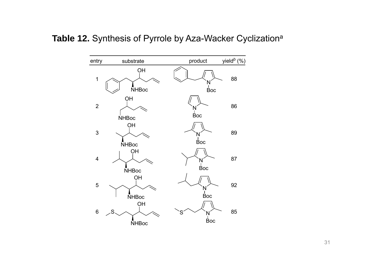#### **Table 12.** Synthesis of Pyrrole by Aza-Wacker Cyclization<sup>a</sup>

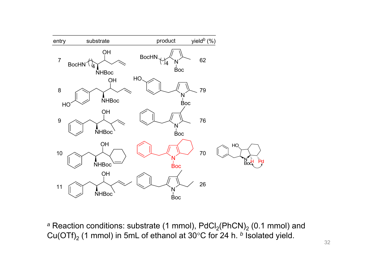

<sup>a</sup> Reaction conditions: substrate (1 mmol), PdCl<sub>2</sub>(PhCN)<sub>2</sub> (0.1 mmol) and Cu(OTf)2 (1 mmol) in 5mL of ethanol at 30°C for 24 h. *<sup>b</sup>* Isolated yield.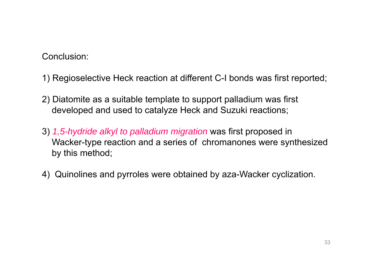Conclusion:

- 1) Regioselective Heck reaction at different C-I bonds was first reported;
- 2) Diatomite as a suitable template to support palladium was first developed and used to catalyze Heck and Suzuki reactions;
- 3) *1 5, -hydride alkyl to palladium migration hydride* was first proposed in first Wacker-type reaction and a series of chromanones were synthesized by this method;
- 4) Quinolines and pyrroles were obtained by aza-Wacker cyclization.